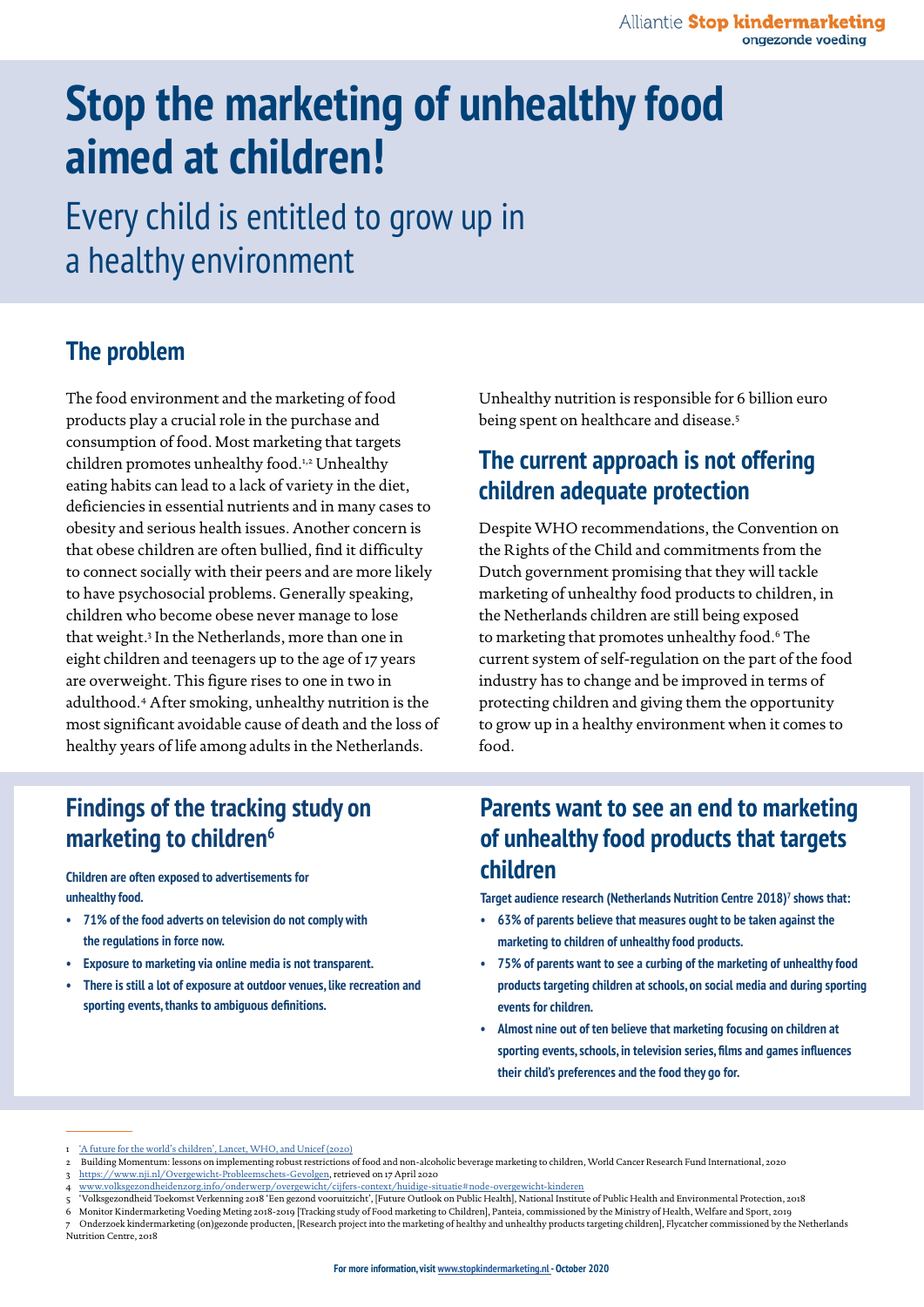# **Stop the marketing of unhealthy food aimed at children!**

Every child is entitled to grow up in a healthy environment

### **The problem**

The food environment and the marketing of food products play a crucial role in the purchase and consumption of food. Most marketing that targets children promotes unhealthy food.<sup>1,2</sup> Unhealthy eating habits can lead to a lack of variety in the diet, deficiencies in essential nutrients and in many cases to obesity and serious health issues. Another concern is that obese children are often bullied, find it difficulty to connect socially with their peers and are more likely to have psychosocial problems. Generally speaking, children who become obese never manage to lose that weight.3 In the Netherlands, more than one in eight children and teenagers up to the age of 17 years are overweight. This figure rises to one in two in adulthood.4 After smoking, unhealthy nutrition is the most significant avoidable cause of death and the loss of healthy years of life among adults in the Netherlands.

Unhealthy nutrition is responsible for 6 billion euro being spent on healthcare and disease.5

### **The current approach is not offering children adequate protection**

Despite WHO recommendations, the Convention on the Rights of the Child and commitments from the Dutch government promising that they will tackle marketing of unhealthy food products to children, in the Netherlands children are still being exposed to marketing that promotes unhealthy food.6 The current system of self-regulation on the part of the food industry has to change and be improved in terms of protecting children and giving them the opportunity to grow up in a healthy environment when it comes to food.

### **Findings of the tracking study on marketing to children6**

**Children are often exposed to advertisements for unhealthy food.**

- **• 71% of the food adverts on television do not comply with the regulations in force now.**
- **• Exposure to marketing via online media is not transparent.**
- **• There is still a lot of exposure at outdoor venues, like recreation and sporting events, thanks to ambiguous definitions.**

### **Parents want to see an end to marketing of unhealthy food products that targets children**

**Target audience research (Netherlands Nutrition Centre 2018)7 shows that:**

- **• 63% of parents believe that measures ought to be taken against the marketing to children of unhealthy food products.**
- **• 75% of parents want to see a curbing of the marketing of unhealthy food products targeting children at schools, on social media and during sporting events for children.**
- **• Almost nine out of ten believe that marketing focusing on children at sporting events, schools, in television series, films and games influences their child's preferences and the food they go for.**

[<sup>&#</sup>x27;A future for the world's children', Lancet, WHO, and Unicef \(2020\)](https://www.unicef.nl/nieuws/2020-02-19-de-gezondheid-van-kinderen-staat-wereldwijd-onder-druk)

<sup>2</sup> Building Momentum: lessons on implementing robust restrictions of food and non-alcoholic beverage marketing to children, World Cancer Research Fund International, 2020

<sup>3</sup> <https://www.nji.nl/Overgewicht-Probleemschets-Gevolgen>, retrieved on 17 April 2020

<sup>4</sup> [www.volksgezondheidenzorg.info/onderwerp/overgewicht/cijfers-context/huidige-situatie#node-overgewicht-kinderen](http://www.volksgezondheidenzorg.info/onderwerp/overgewicht/cijfers-context/huidige-situatie#node-overgewic)<br>5 'Volksgezondheid Toekomst Verkenning 2018 'Een gezond vooruitzicht', [Future Outlook on Public Health, Nat

<sup>6</sup> Monitor Kindermarketing Voeding Meting 2018-2019 [Tracking study of Food marketing to Children], Panteia, commissioned by the Ministry of Health, Welfare and Sport, 2019 7 Onderzoek kindermarketing (on)gezonde producten, [Research project into the marketing of healthy and unhealthy products targeting children], Flycatcher commissioned by the Netherlands Nutrition Centre, 2018